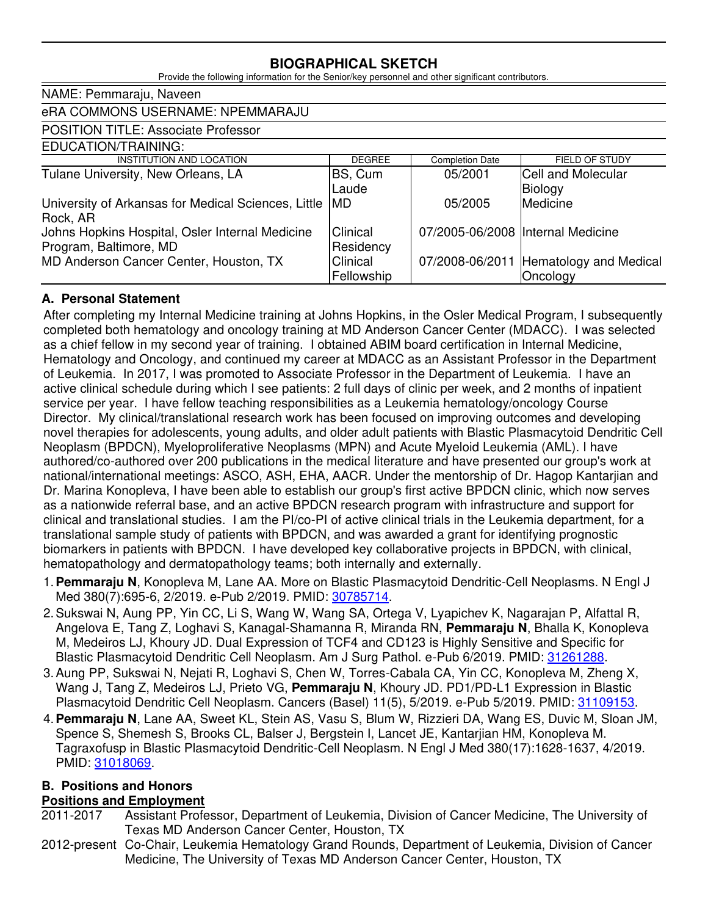## **BIOGRAPHICAL SKETCH**

Provide the following information for the Senior/key personnel and other significant contributors.

| NAME: Pemmaraju, Naveen                             |               |                                    |                                        |
|-----------------------------------------------------|---------------|------------------------------------|----------------------------------------|
| eRA COMMONS USERNAME: NPEMMARAJU                    |               |                                    |                                        |
| <b>POSITION TITLE: Associate Professor</b>          |               |                                    |                                        |
| EDUCATION/TRAINING:                                 |               |                                    |                                        |
| INSTITUTION AND LOCATION                            | <b>DEGREE</b> | <b>Completion Date</b>             | FIELD OF STUDY                         |
| Tulane University, New Orleans, LA                  | BS, Cum       | 05/2001                            | Cell and Molecular                     |
|                                                     | Laude         |                                    | Biology                                |
| University of Arkansas for Medical Sciences, Little | IMD           | 05/2005                            | Medicine                               |
| Rock, AR                                            |               |                                    |                                        |
| Johns Hopkins Hospital, Osler Internal Medicine     | Clinical      | 07/2005-06/2008  Internal Medicine |                                        |
| Program, Baltimore, MD                              | Residency     |                                    |                                        |
| MD Anderson Cancer Center, Houston, TX              | Clinical      |                                    | 07/2008-06/2011 Hematology and Medical |
|                                                     | Fellowship    |                                    | Oncology                               |

#### **A. Personal Statement**

After completing my Internal Medicine training at Johns Hopkins, in the Osler Medical Program, I subsequently completed both hematology and oncology training at MD Anderson Cancer Center (MDACC). I was selected as a chief fellow in my second year of training. I obtained ABIM board certification in Internal Medicine, Hematology and Oncology, and continued my career at MDACC as an Assistant Professor in the Department of Leukemia. In 2017, I was promoted to Associate Professor in the Department of Leukemia. I have an active clinical schedule during which I see patients: 2 full days of clinic per week, and 2 months of inpatient service per year. I have fellow teaching responsibilities as a Leukemia hematology/oncology Course Director. My clinical/translational research work has been focused on improving outcomes and developing novel therapies for adolescents, young adults, and older adult patients with Blastic Plasmacytoid Dendritic Cell Neoplasm (BPDCN), Myeloproliferative Neoplasms (MPN) and Acute Myeloid Leukemia (AML). I have authored/co-authored over 200 publications in the medical literature and have presented our group's work at national/international meetings: ASCO, ASH, EHA, AACR. Under the mentorship of Dr. Hagop Kantarjian and Dr. Marina Konopleva, I have been able to establish our group's first active BPDCN clinic, which now serves as a nationwide referral base, and an active BPDCN research program with infrastructure and support for clinical and translational studies. I am the PI/co-PI of active clinical trials in the Leukemia department, for a translational sample study of patients with BPDCN, and was awarded a grant for identifying prognostic biomarkers in patients with BPDCN. I have developed key collaborative projects in BPDCN, with clinical, hematopathology and dermatopathology teams; both internally and externally.

- 1.**Pemmaraju N**, Konopleva M, Lane AA. More on Blastic Plasmacytoid Dendritic-Cell Neoplasms. N Engl J Med 380(7):695-6, 2/2019. e-Pub 2/2019. PMID: [30785714.](http://www.ncbi.nlm.nih.gov/pubmed/30785714/)
- 2.Sukswai N, Aung PP, Yin CC, Li S, Wang W, Wang SA, Ortega V, Lyapichev K, Nagarajan P, Alfattal R, Angelova E, Tang Z, Loghavi S, Kanagal-Shamanna R, Miranda RN, **Pemmaraju N**, Bhalla K, Konopleva M, Medeiros LJ, Khoury JD. Dual Expression of TCF4 and CD123 is Highly Sensitive and Specific for Blastic Plasmacytoid Dendritic Cell Neoplasm. Am J Surg Pathol. e-Pub 6/2019. PMID: [31261288.](http://www.ncbi.nlm.nih.gov/pubmed/31261288/)
- 3.Aung PP, Sukswai N, Nejati R, Loghavi S, Chen W, Torres-Cabala CA, Yin CC, Konopleva M, Zheng X, Wang J, Tang Z, Medeiros LJ, Prieto VG, **Pemmaraju N**, Khoury JD. PD1/PD-L1 Expression in Blastic Plasmacytoid Dendritic Cell Neoplasm. Cancers (Basel) 11(5), 5/2019. e-Pub 5/2019. PMID: [31109153.](http://www.ncbi.nlm.nih.gov/pubmed/31109153/)
- 4.**Pemmaraju N**, Lane AA, Sweet KL, Stein AS, Vasu S, Blum W, Rizzieri DA, Wang ES, Duvic M, Sloan JM, Spence S, Shemesh S, Brooks CL, Balser J, Bergstein I, Lancet JE, Kantarjian HM, Konopleva M. Tagraxofusp in Blastic Plasmacytoid Dendritic-Cell Neoplasm. N Engl J Med 380(17):1628-1637, 4/2019. PMID: [31018069.](http://www.ncbi.nlm.nih.gov/pubmed/31018069/)

## **B. Positions and Honors**

#### **Positions and Employment**

- 2011-2017 Assistant Professor, Department of Leukemia, Division of Cancer Medicine, The University of Texas MD Anderson Cancer Center, Houston, TX
- 2012-present Co-Chair, Leukemia Hematology Grand Rounds, Department of Leukemia, Division of Cancer Medicine, The University of Texas MD Anderson Cancer Center, Houston, TX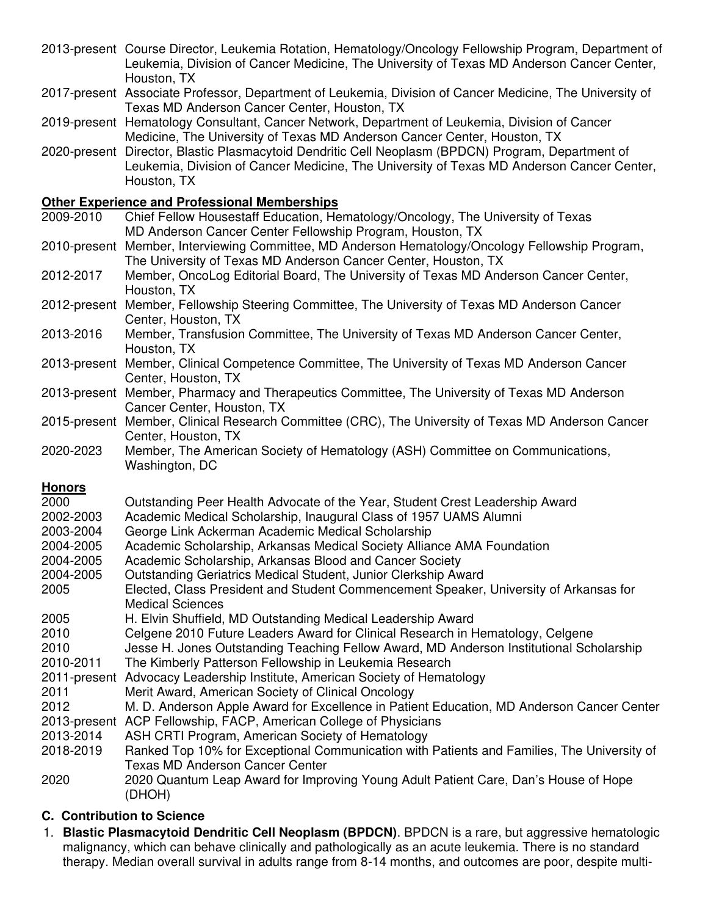- 2013-present Course Director, Leukemia Rotation, Hematology/Oncology Fellowship Program, Department of Leukemia, Division of Cancer Medicine, The University of Texas MD Anderson Cancer Center, Houston, TX
- 2017-present Associate Professor, Department of Leukemia, Division of Cancer Medicine, The University of Texas MD Anderson Cancer Center, Houston, TX
- 2019-present Hematology Consultant, Cancer Network, Department of Leukemia, Division of Cancer Medicine, The University of Texas MD Anderson Cancer Center, Houston, TX
- 2020-present Director, Blastic Plasmacytoid Dendritic Cell Neoplasm (BPDCN) Program, Department of Leukemia, Division of Cancer Medicine, The University of Texas MD Anderson Cancer Center, Houston, TX

# **Other Experience and Professional Memberships**<br>2009-2010 Chief Fellow Housestaff Education. He

- Chief Fellow Housestaff Education, Hematology/Oncology, The University of Texas MD Anderson Cancer Center Fellowship Program, Houston, TX
- 2010-present Member, Interviewing Committee, MD Anderson Hematology/Oncology Fellowship Program, The University of Texas MD Anderson Cancer Center, Houston, TX
- 2012-2017 Member, OncoLog Editorial Board, The University of Texas MD Anderson Cancer Center, Houston, TX
- 2012-present Member, Fellowship Steering Committee, The University of Texas MD Anderson Cancer Center, Houston, TX
- 2013-2016 Member, Transfusion Committee, The University of Texas MD Anderson Cancer Center, Houston, TX
- 2013-present Member, Clinical Competence Committee, The University of Texas MD Anderson Cancer Center, Houston, TX
- 2013-present Member, Pharmacy and Therapeutics Committee, The University of Texas MD Anderson Cancer Center, Houston, TX
- 2015-present Member, Clinical Research Committee (CRC), The University of Texas MD Anderson Cancer Center, Houston, TX
- 2020-2023 Member, The American Society of Hematology (ASH) Committee on Communications, Washington, DC

#### **Honors**

2000 Outstanding Peer Health Advocate of the Year, Student Crest Leadership Award 2002-2003 Academic Medical Scholarship, Inaugural Class of 1957 UAMS Alumni 2003-2004 George Link Ackerman Academic Medical Scholarship 2004-2005 Academic Scholarship, Arkansas Medical Society Alliance AMA Foundation 2004-2005 Academic Scholarship, Arkansas Blood and Cancer Society 2004-2005 Outstanding Geriatrics Medical Student, Junior Clerkship Award 2005 Elected, Class President and Student Commencement Speaker, University of Arkansas for Medical Sciences 2005 H. Elvin Shuffield, MD Outstanding Medical Leadership Award 2010 Celgene 2010 Future Leaders Award for Clinical Research in Hematology, Celgene 2010 Jesse H. Jones Outstanding Teaching Fellow Award, MD Anderson Institutional Scholarship<br>2010-2011 The Kimberly Patterson Fellowship in Leukemia Research The Kimberly Patterson Fellowship in Leukemia Research 2011-present Advocacy Leadership Institute, American Society of Hematology 2011 Merit Award, American Society of Clinical Oncology 2012 M. D. Anderson Apple Award for Excellence in Patient Education, MD Anderson Cancer Center 2013-present ACP Fellowship, FACP, American College of Physicians 2013-2014 ASH CRTI Program, American Society of Hematology 2018-2019 Ranked Top 10% for Exceptional Communication with Patients and Families, The University of Texas MD Anderson Cancer Center 2020 2020 Quantum Leap Award for Improving Young Adult Patient Care, Dan's House of Hope (DHOH)

#### **C. Contribution to Science**

1. **Blastic Plasmacytoid Dendritic Cell Neoplasm (BPDCN)**. BPDCN is a rare, but aggressive hematologic malignancy, which can behave clinically and pathologically as an acute leukemia. There is no standard therapy. Median overall survival in adults range from 8-14 months, and outcomes are poor, despite multi-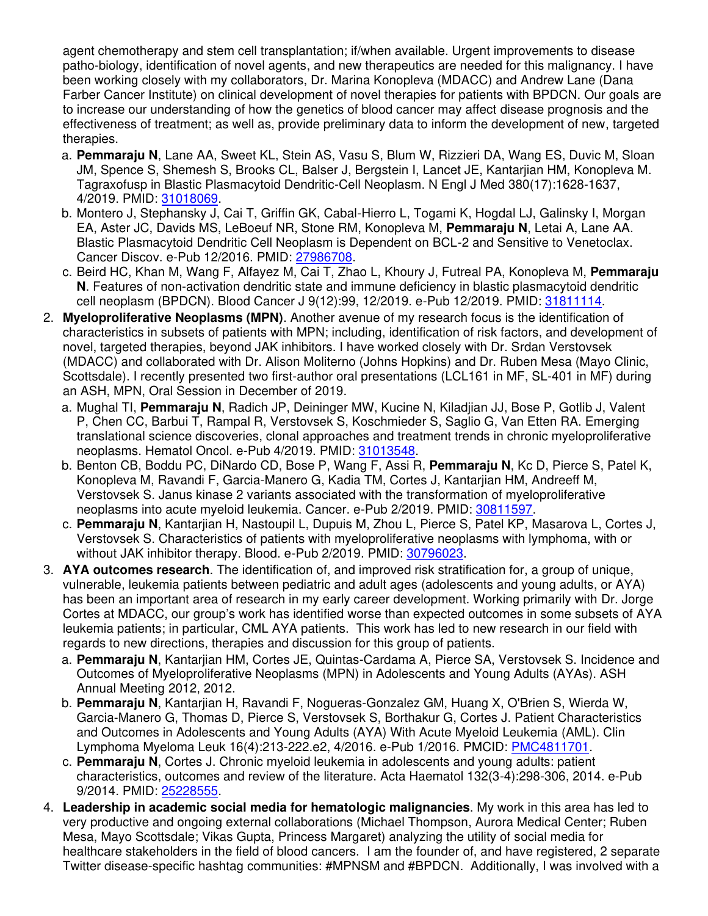agent chemotherapy and stem cell transplantation; if/when available. Urgent improvements to disease patho-biology, identification of novel agents, and new therapeutics are needed for this malignancy. I have been working closely with my collaborators, Dr. Marina Konopleva (MDACC) and Andrew Lane (Dana Farber Cancer Institute) on clinical development of novel therapies for patients with BPDCN. Our goals are to increase our understanding of how the genetics of blood cancer may affect disease prognosis and the effectiveness of treatment; as well as, provide preliminary data to inform the development of new, targeted therapies.

- a. **Pemmaraju N**, Lane AA, Sweet KL, Stein AS, Vasu S, Blum W, Rizzieri DA, Wang ES, Duvic M, Sloan JM, Spence S, Shemesh S, Brooks CL, Balser J, Bergstein I, Lancet JE, Kantarjian HM, Konopleva M. Tagraxofusp in Blastic Plasmacytoid Dendritic-Cell Neoplasm. N Engl J Med 380(17):1628-1637, 4/2019. PMID: [31018069.](http://www.ncbi.nlm.nih.gov/pubmed/31018069/)
- b. Montero J, Stephansky J, Cai T, Griffin GK, Cabal-Hierro L, Togami K, Hogdal LJ, Galinsky I, Morgan EA, Aster JC, Davids MS, LeBoeuf NR, Stone RM, Konopleva M, **Pemmaraju N**, Letai A, Lane AA. Blastic Plasmacytoid Dendritic Cell Neoplasm is Dependent on BCL-2 and Sensitive to Venetoclax. Cancer Discov. e-Pub 12/2016. PMID: [27986708.](http://www.ncbi.nlm.nih.gov/pubmed/27986708/)
- c. Beird HC, Khan M, Wang F, Alfayez M, Cai T, Zhao L, Khoury J, Futreal PA, Konopleva M, **Pemmaraju N**. Features of non-activation dendritic state and immune deficiency in blastic plasmacytoid dendritic cell neoplasm (BPDCN). Blood Cancer J 9(12):99, 12/2019. e-Pub 12/2019. PMID: [31811114.](http://www.ncbi.nlm.nih.gov/pubmed/31811114/)
- 2. **Myeloproliferative Neoplasms (MPN)**. Another avenue of my research focus is the identification of characteristics in subsets of patients with MPN; including, identification of risk factors, and development of novel, targeted therapies, beyond JAK inhibitors. I have worked closely with Dr. Srdan Verstovsek (MDACC) and collaborated with Dr. Alison Moliterno (Johns Hopkins) and Dr. Ruben Mesa (Mayo Clinic, Scottsdale). I recently presented two first-author oral presentations (LCL161 in MF, SL-401 in MF) during an ASH, MPN, Oral Session in December of 2019.
	- a. Mughal TI, **Pemmaraju N**, Radich JP, Deininger MW, Kucine N, Kiladjian JJ, Bose P, Gotlib J, Valent P, Chen CC, Barbui T, Rampal R, Verstovsek S, Koschmieder S, Saglio G, Van Etten RA. Emerging translational science discoveries, clonal approaches and treatment trends in chronic myeloproliferative neoplasms. Hematol Oncol. e-Pub 4/2019. PMID: [31013548.](http://www.ncbi.nlm.nih.gov/pubmed/31013548/)
	- b. Benton CB, Boddu PC, DiNardo CD, Bose P, Wang F, Assi R, **Pemmaraju N**, Kc D, Pierce S, Patel K, Konopleva M, Ravandi F, Garcia-Manero G, Kadia TM, Cortes J, Kantarjian HM, Andreeff M, Verstovsek S. Janus kinase 2 variants associated with the transformation of myeloproliferative neoplasms into acute myeloid leukemia. Cancer. e-Pub 2/2019. PMID: [30811597.](http://www.ncbi.nlm.nih.gov/pubmed/30811597/)
	- c. **Pemmaraju N**, Kantarjian H, Nastoupil L, Dupuis M, Zhou L, Pierce S, Patel KP, Masarova L, Cortes J, Verstovsek S. Characteristics of patients with myeloproliferative neoplasms with lymphoma, with or without JAK inhibitor therapy. Blood. e-Pub 2/2019. PMID: [30796023.](http://www.ncbi.nlm.nih.gov/pubmed/30796023/)
- 3. **AYA outcomes research**. The identification of, and improved risk stratification for, a group of unique, vulnerable, leukemia patients between pediatric and adult ages (adolescents and young adults, or AYA) has been an important area of research in my early career development. Working primarily with Dr. Jorge Cortes at MDACC, our group's work has identified worse than expected outcomes in some subsets of AYA leukemia patients; in particular, CML AYA patients. This work has led to new research in our field with regards to new directions, therapies and discussion for this group of patients.
	- a. **Pemmaraju N**, Kantarjian HM, Cortes JE, Quintas-Cardama A, Pierce SA, Verstovsek S. Incidence and Outcomes of Myeloproliferative Neoplasms (MPN) in Adolescents and Young Adults (AYAs). ASH Annual Meeting 2012, 2012.
	- b. **Pemmaraju N**, Kantarjian H, Ravandi F, Nogueras-Gonzalez GM, Huang X, O'Brien S, Wierda W, Garcia-Manero G, Thomas D, Pierce S, Verstovsek S, Borthakur G, Cortes J. Patient Characteristics and Outcomes in Adolescents and Young Adults (AYA) With Acute Myeloid Leukemia (AML). Clin Lymphoma Myeloma Leuk 16(4):213-222.e2, 4/2016. e-Pub 1/2016. PMCID: [PMC4811701.](http://www.ncbi.nlm.nih.gov/pmc/articles/PMC4811701/)
	- c. **Pemmaraju N**, Cortes J. Chronic myeloid leukemia in adolescents and young adults: patient characteristics, outcomes and review of the literature. Acta Haematol 132(3-4):298-306, 2014. e-Pub 9/2014. PMID: [25228555.](http://www.ncbi.nlm.nih.gov/pubmed/25228555/)
- 4. **Leadership in academic social media for hematologic malignancies**. My work in this area has led to very productive and ongoing external collaborations (Michael Thompson, Aurora Medical Center; Ruben Mesa, Mayo Scottsdale; Vikas Gupta, Princess Margaret) analyzing the utility of social media for healthcare stakeholders in the field of blood cancers. I am the founder of, and have registered, 2 separate Twitter disease-specific hashtag communities: #MPNSM and #BPDCN. Additionally, I was involved with a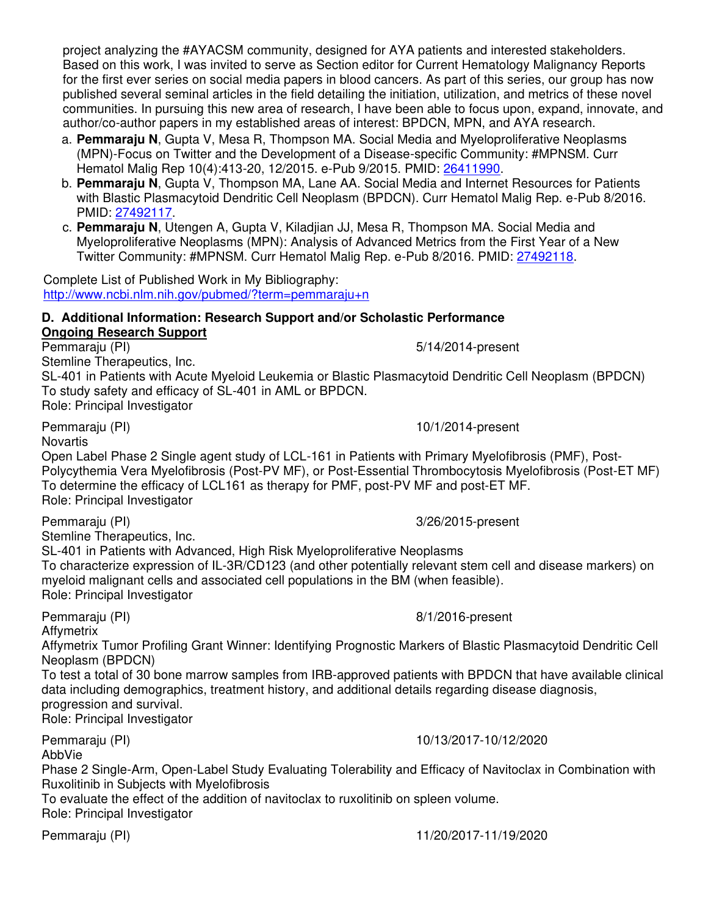project analyzing the #AYACSM community, designed for AYA patients and interested stakeholders. Based on this work, I was invited to serve as Section editor for Current Hematology Malignancy Reports for the first ever series on social media papers in blood cancers. As part of this series, our group has now published several seminal articles in the field detailing the initiation, utilization, and metrics of these novel communities. In pursuing this new area of research, I have been able to focus upon, expand, innovate, and author/co-author papers in my established areas of interest: BPDCN, MPN, and AYA research.

- a. **Pemmaraju N**, Gupta V, Mesa R, Thompson MA. Social Media and Myeloproliferative Neoplasms (MPN)-Focus on Twitter and the Development of a Disease-specific Community: #MPNSM. Curr Hematol Malig Rep 10(4):413-20, 12/2015. e-Pub 9/2015. PMID: [26411990.](http://www.ncbi.nlm.nih.gov/pubmed/26411990/)
- b. **Pemmaraju N**, Gupta V, Thompson MA, Lane AA. Social Media and Internet Resources for Patients with Blastic Plasmacytoid Dendritic Cell Neoplasm (BPDCN). Curr Hematol Malig Rep. e-Pub 8/2016. PMID: [27492117.](http://www.ncbi.nlm.nih.gov/pubmed/27492117/)
- c. **Pemmaraju N**, Utengen A, Gupta V, Kiladjian JJ, Mesa R, Thompson MA. Social Media and Myeloproliferative Neoplasms (MPN): Analysis of Advanced Metrics from the First Year of a New Twitter Community: #MPNSM. Curr Hematol Malig Rep. e-Pub 8/2016. PMID: [27492118.](http://www.ncbi.nlm.nih.gov/pubmed/27492118/)

Complete List of Published Work in My Bibliography: <http://www.ncbi.nlm.nih.gov/pubmed/?term=pemmaraju+n>

#### **D. Additional Information: Research Support and/or Scholastic Performance Ongoing Research Support**

Pemmaraju (PI) 6-14/2014-present Stemline Therapeutics, Inc.

SL-401 in Patients with Acute Myeloid Leukemia or Blastic Plasmacytoid Dendritic Cell Neoplasm (BPDCN) To study safety and efficacy of SL-401 in AML or BPDCN. Role: Principal Investigator

**Novartis** 

Open Label Phase 2 Single agent study of LCL-161 in Patients with Primary Myelofibrosis (PMF), Post-Polycythemia Vera Myelofibrosis (Post-PV MF), or Post-Essential Thrombocytosis Myelofibrosis (Post-ET MF) To determine the efficacy of LCL161 as therapy for PMF, post-PV MF and post-ET MF. Role: Principal Investigator

Pemmaraju (PI) 3/26/2015-present

Stemline Therapeutics, Inc.

SL-401 in Patients with Advanced, High Risk Myeloproliferative Neoplasms

To characterize expression of IL-3R/CD123 (and other potentially relevant stem cell and disease markers) on myeloid malignant cells and associated cell populations in the BM (when feasible). Role: Principal Investigator

Pemmaraju (PI) 8/1/2016-present

**Affymetrix** 

Affymetrix Tumor Profiling Grant Winner: Identifying Prognostic Markers of Blastic Plasmacytoid Dendritic Cell Neoplasm (BPDCN)

To test a total of 30 bone marrow samples from IRB-approved patients with BPDCN that have available clinical data including demographics, treatment history, and additional details regarding disease diagnosis, progression and survival.

Role: Principal Investigator

Pemmaraju (PI) 10/13/2017-10/12/2020

AbbVie

Phase 2 Single-Arm, Open-Label Study Evaluating Tolerability and Efficacy of Navitoclax in Combination with Ruxolitinib in Subjects with Myelofibrosis

To evaluate the effect of the addition of navitoclax to ruxolitinib on spleen volume. Role: Principal Investigator

#### Pemmaraju (PI) 11/20/2017-11/19/2020

Pemmaraju (PI) 10/1/2014-present